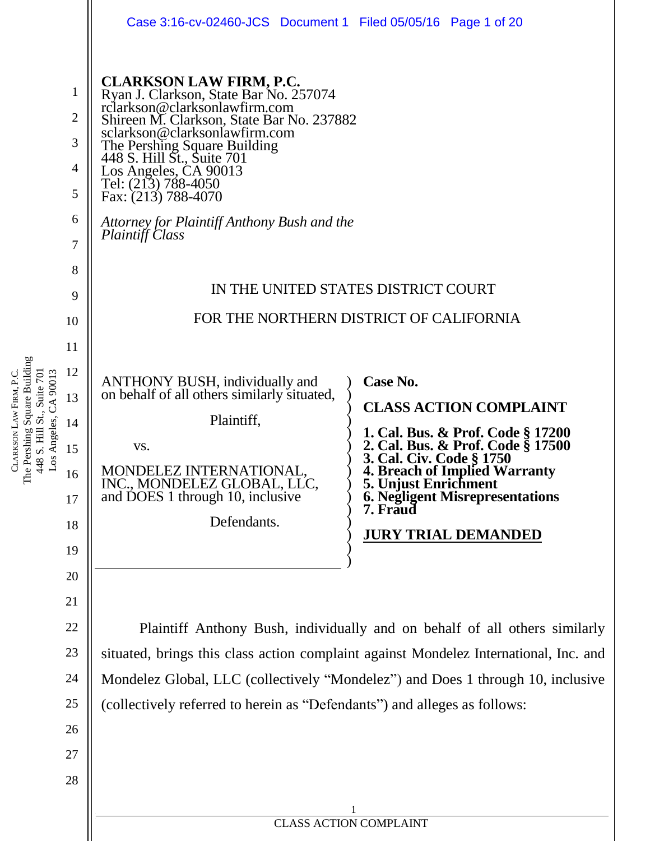|                                                           | Case 3:16-cv-02460-JCS Document 1 Filed 05/05/16 Page 1 of 20                                                                                                                                                                                                                                                                                                                                    |                                                                                                        |
|-----------------------------------------------------------|--------------------------------------------------------------------------------------------------------------------------------------------------------------------------------------------------------------------------------------------------------------------------------------------------------------------------------------------------------------------------------------------------|--------------------------------------------------------------------------------------------------------|
| 1<br>$\overline{2}$<br>3<br>$\overline{4}$<br>5<br>6<br>7 | <b>CLARKSON LAW FIRM, P.C.</b><br>Ryan J. Clarkson, State Bar No. 257074<br>rclarkson@clarksonlawfirm.com<br>Shireen M. Clarkson, State Bar No. 237882<br>sclarkson@clarksonlawfirm.com<br>The Pershing Square Building<br>448 S. Hill St., Suite 701<br>Los Angeles, CA 90013<br>Tel: (213) 788-4050<br>Fax: $(213)$ 788-4070<br>Attorney for Plaintiff Anthony Bush and the<br>Plaintiff Class |                                                                                                        |
| 8                                                         |                                                                                                                                                                                                                                                                                                                                                                                                  |                                                                                                        |
| 9                                                         | IN THE UNITED STATES DISTRICT COURT                                                                                                                                                                                                                                                                                                                                                              |                                                                                                        |
| 10                                                        |                                                                                                                                                                                                                                                                                                                                                                                                  | FOR THE NORTHERN DISTRICT OF CALIFORNIA                                                                |
| 11                                                        |                                                                                                                                                                                                                                                                                                                                                                                                  |                                                                                                        |
| 12                                                        | <b>ANTHONY BUSH, individually and</b>                                                                                                                                                                                                                                                                                                                                                            | Case No.                                                                                               |
| 13                                                        | on behalf of all others similarly situated,                                                                                                                                                                                                                                                                                                                                                      | <b>CLASS ACTION COMPLAINT</b>                                                                          |
| 14                                                        | Plaintiff,                                                                                                                                                                                                                                                                                                                                                                                       | 1. Cal. Bus. & Prof. Code § 17200                                                                      |
| 15                                                        | VS.                                                                                                                                                                                                                                                                                                                                                                                              | 2. Cal. Bus. & Prof. Code § 17500<br>3. Cal. Civ. Code § 1750                                          |
| 16<br>17                                                  | <b>MONDELEZ INTERNATIONAL</b><br>INC., MONDELEZ GLOBAL, LLC,<br>and DOES 1 through 10, inclusive                                                                                                                                                                                                                                                                                                 | <b>4. Breach of Implied Warranty</b><br>5. Unjust Enrichment<br><b>6. Negligent Misrepresentations</b> |
| 18                                                        | Defendants.                                                                                                                                                                                                                                                                                                                                                                                      | 7. Fraud                                                                                               |
| 19                                                        |                                                                                                                                                                                                                                                                                                                                                                                                  | <b>JURY TRIAL DEMANDED</b>                                                                             |
| 20                                                        |                                                                                                                                                                                                                                                                                                                                                                                                  |                                                                                                        |
| 21                                                        |                                                                                                                                                                                                                                                                                                                                                                                                  |                                                                                                        |
| 22                                                        | Plaintiff Anthony Bush, individually and on behalf of all others similarly                                                                                                                                                                                                                                                                                                                       |                                                                                                        |
| 23                                                        | situated, brings this class action complaint against Mondelez International, Inc. and                                                                                                                                                                                                                                                                                                            |                                                                                                        |
| 24                                                        | Mondelez Global, LLC (collectively "Mondelez") and Does 1 through 10, inclusive                                                                                                                                                                                                                                                                                                                  |                                                                                                        |
| 25                                                        | (collectively referred to herein as "Defendants") and alleges as follows:                                                                                                                                                                                                                                                                                                                        |                                                                                                        |
| 26                                                        |                                                                                                                                                                                                                                                                                                                                                                                                  |                                                                                                        |
| 27                                                        |                                                                                                                                                                                                                                                                                                                                                                                                  |                                                                                                        |
| 28                                                        |                                                                                                                                                                                                                                                                                                                                                                                                  |                                                                                                        |
|                                                           |                                                                                                                                                                                                                                                                                                                                                                                                  |                                                                                                        |
|                                                           | <b>CLASS ACTION COMPLAINT</b>                                                                                                                                                                                                                                                                                                                                                                    |                                                                                                        |

CLARKSON LAW FIRM, P.C. The Pershing Square Building 448 S. Hill St., Suite 701 Los Angeles, CA 90013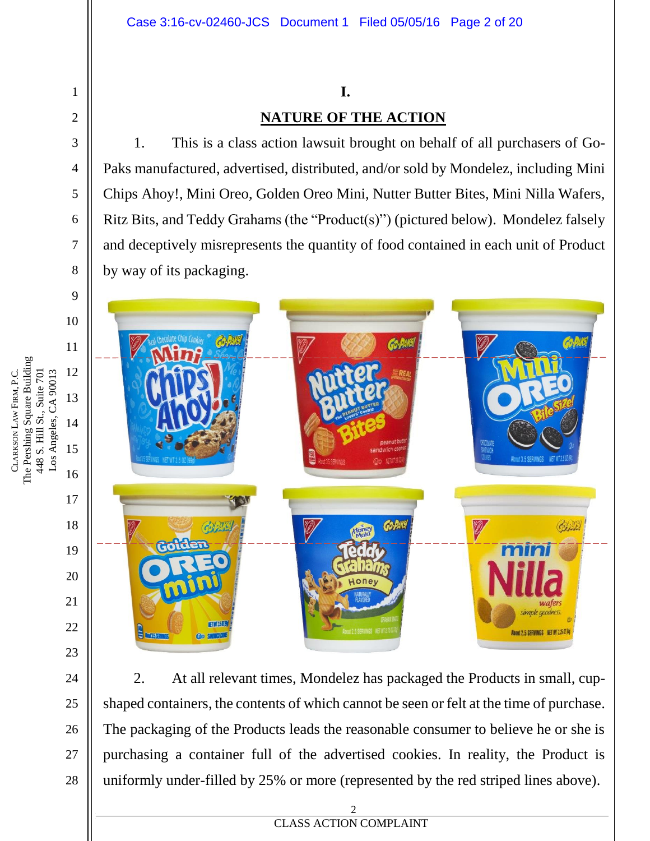## **I. NATURE OF THE ACTION**

1. This is a class action lawsuit brought on behalf of all purchasers of Go-Paks manufactured, advertised, distributed, and/or sold by Mondelez, including Mini Chips Ahoy!, Mini Oreo, Golden Oreo Mini, Nutter Butter Bites, Mini Nilla Wafers, Ritz Bits, and Teddy Grahams (the "Product(s)") (pictured below). Mondelez falsely and deceptively misrepresents the quantity of food contained in each unit of Product by way of its packaging.



2. At all relevant times, Mondelez has packaged the Products in small, cupshaped containers, the contents of which cannot be seen or felt at the time of purchase. The packaging of the Products leads the reasonable consumer to believe he or she is purchasing a container full of the advertised cookies. In reality, the Product is uniformly under-filled by 25% or more (represented by the red striped lines above).

1

2

3

4

5

6

7

8

24

25

26

27

28

**EXECUTES ACTION COMPLAINT** 2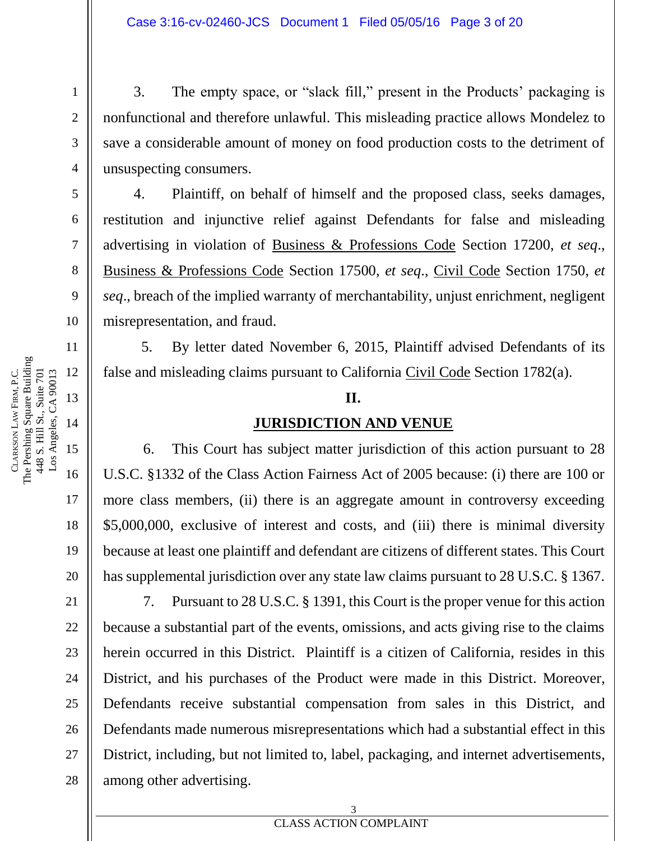3. The empty space, or "slack fill," present in the Products' packaging is nonfunctional and therefore unlawful. This misleading practice allows Mondelez to save a considerable amount of money on food production costs to the detriment of unsuspecting consumers.

4. Plaintiff, on behalf of himself and the proposed class, seeks damages, restitution and injunctive relief against Defendants for false and misleading advertising in violation of Business & Professions Code Section 17200, *et seq*., Business & Professions Code Section 17500, *et seq*., Civil Code Section 1750, *et seq*., breach of the implied warranty of merchantability, unjust enrichment, negligent misrepresentation, and fraud.

5. By letter dated November 6, 2015, Plaintiff advised Defendants of its false and misleading claims pursuant to California Civil Code Section 1782(a).

#### **II.**

#### **JURISDICTION AND VENUE**

6. This Court has subject matter jurisdiction of this action pursuant to 28 U.S.C. §1332 of the Class Action Fairness Act of 2005 because: (i) there are 100 or more class members, (ii) there is an aggregate amount in controversy exceeding \$5,000,000, exclusive of interest and costs, and (iii) there is minimal diversity because at least one plaintiff and defendant are citizens of different states. This Court has supplemental jurisdiction over any state law claims pursuant to 28 U.S.C. § 1367.

7. Pursuant to 28 U.S.C. § 1391, this Court is the proper venue for this action because a substantial part of the events, omissions, and acts giving rise to the claims herein occurred in this District. Plaintiff is a citizen of California, resides in this District, and his purchases of the Product were made in this District. Moreover, Defendants receive substantial compensation from sales in this District, and Defendants made numerous misrepresentations which had a substantial effect in this District, including, but not limited to, label, packaging, and internet advertisements, among other advertising.

CLARKSON

LAW

The Pershing Square Building 448 S. Hill St., Suite 701

448 S. Hill St., Suite 701

FIRM, P.C.

28

1

2

3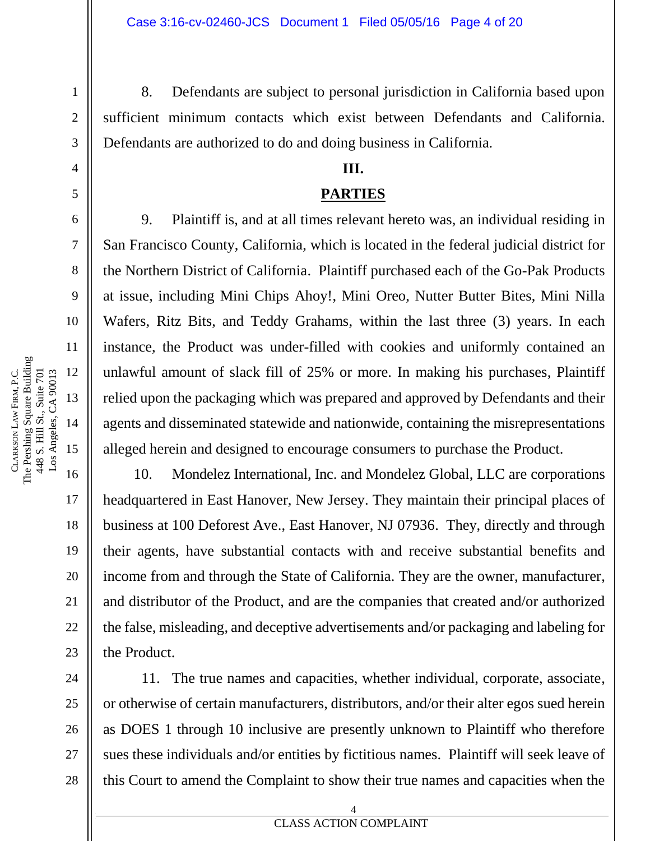8. Defendants are subject to personal jurisdiction in California based upon sufficient minimum contacts which exist between Defendants and California. Defendants are authorized to do and doing business in California.

#### **III.**

#### **PARTIES**

9. Plaintiff is, and at all times relevant hereto was, an individual residing in San Francisco County, California, which is located in the federal judicial district for the Northern District of California. Plaintiff purchased each of the Go-Pak Products at issue, including Mini Chips Ahoy!, Mini Oreo, Nutter Butter Bites, Mini Nilla Wafers, Ritz Bits, and Teddy Grahams, within the last three (3) years. In each instance, the Product was under-filled with cookies and uniformly contained an unlawful amount of slack fill of 25% or more. In making his purchases, Plaintiff relied upon the packaging which was prepared and approved by Defendants and their agents and disseminated statewide and nationwide, containing the misrepresentations alleged herein and designed to encourage consumers to purchase the Product.

10. Mondelez International, Inc. and Mondelez Global, LLC are corporations headquartered in East Hanover, New Jersey. They maintain their principal places of business at 100 Deforest Ave., East Hanover, NJ 07936. They, directly and through their agents, have substantial contacts with and receive substantial benefits and income from and through the State of California. They are the owner, manufacturer, and distributor of the Product, and are the companies that created and/or authorized the false, misleading, and deceptive advertisements and/or packaging and labeling for the Product.

11. The true names and capacities, whether individual, corporate, associate, or otherwise of certain manufacturers, distributors, and/or their alter egos sued herein as DOES 1 through 10 inclusive are presently unknown to Plaintiff who therefore sues these individuals and/or entities by fictitious names. Plaintiff will seek leave of this Court to amend the Complaint to show their true names and capacities when the

1

2

3

4

5

6

7

8

9

10

11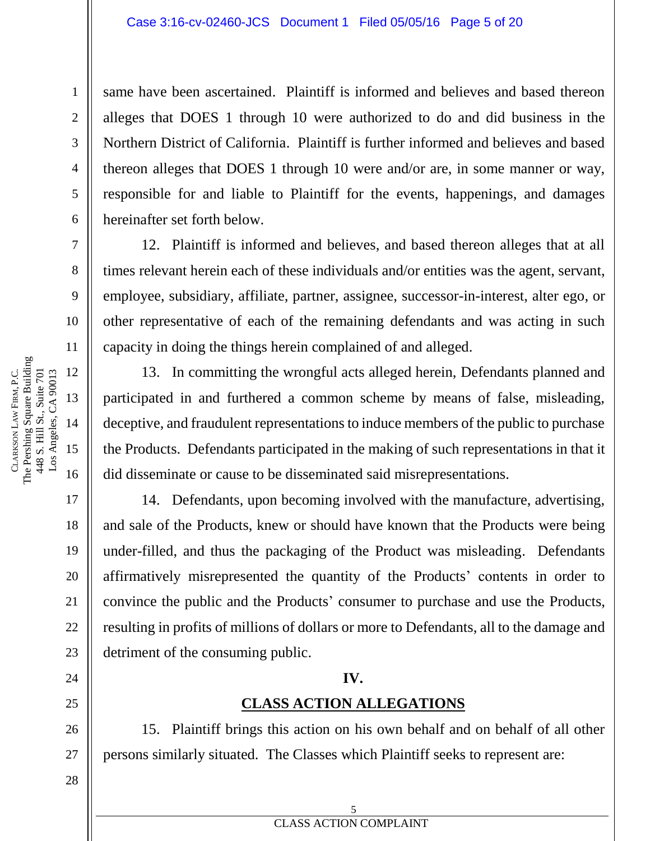same have been ascertained. Plaintiff is informed and believes and based thereon alleges that DOES 1 through 10 were authorized to do and did business in the Northern District of California. Plaintiff is further informed and believes and based thereon alleges that DOES 1 through 10 were and/or are, in some manner or way, responsible for and liable to Plaintiff for the events, happenings, and damages hereinafter set forth below.

12. Plaintiff is informed and believes, and based thereon alleges that at all times relevant herein each of these individuals and/or entities was the agent, servant, employee, subsidiary, affiliate, partner, assignee, successor-in-interest, alter ego, or other representative of each of the remaining defendants and was acting in such capacity in doing the things herein complained of and alleged.

13. In committing the wrongful acts alleged herein, Defendants planned and participated in and furthered a common scheme by means of false, misleading, deceptive, and fraudulent representations to induce members of the public to purchase the Products. Defendants participated in the making of such representations in that it did disseminate or cause to be disseminated said misrepresentations.

14. Defendants, upon becoming involved with the manufacture, advertising, and sale of the Products, knew or should have known that the Products were being under-filled, and thus the packaging of the Product was misleading. Defendants affirmatively misrepresented the quantity of the Products' contents in order to convince the public and the Products' consumer to purchase and use the Products, resulting in profits of millions of dollars or more to Defendants, all to the damage and detriment of the consuming public.

#### **IV.**

### **CLASS ACTION ALLEGATIONS**

15. Plaintiff brings this action on his own behalf and on behalf of all other persons similarly situated. The Classes which Plaintiff seeks to represent are:

1

2

3

4

5

6

7

8

9

10

11

17

18

19

20

21

22

23

24

25

26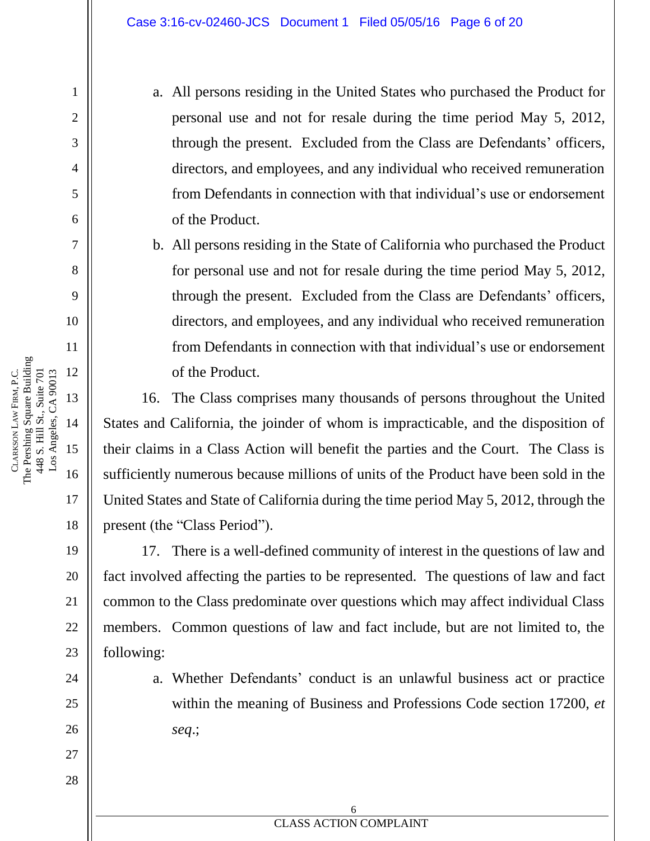a. All persons residing in the United States who purchased the Product for personal use and not for resale during the time period May 5, 2012, through the present. Excluded from the Class are Defendants' officers, directors, and employees, and any individual who received remuneration from Defendants in connection with that individual's use or endorsement of the Product.

b. All persons residing in the State of California who purchased the Product for personal use and not for resale during the time period May 5, 2012, through the present. Excluded from the Class are Defendants' officers, directors, and employees, and any individual who received remuneration from Defendants in connection with that individual's use or endorsement of the Product.

16. The Class comprises many thousands of persons throughout the United States and California, the joinder of whom is impracticable, and the disposition of their claims in a Class Action will benefit the parties and the Court. The Class is sufficiently numerous because millions of units of the Product have been sold in the United States and State of California during the time period May 5, 2012, through the present (the "Class Period").

17. There is a well-defined community of interest in the questions of law and fact involved affecting the parties to be represented. The questions of law and fact common to the Class predominate over questions which may affect individual Class members. Common questions of law and fact include, but are not limited to, the following:

> a. Whether Defendants' conduct is an unlawful business act or practice within the meaning of Business and Professions Code section 17200, *et seq*.;

**EXECUTES ACTION COMPLAINT** 6

The Pershing Square Building 12 Los Angeles, CA 90013 FIRM, P.C. 448 S. Hill St., Suite 701 448 S. Hill St., Suite 701 Los Angeles, CA 90013 13 LAW 14 CLARKSON 15

1

2

3

4

5

6

7

8

9

10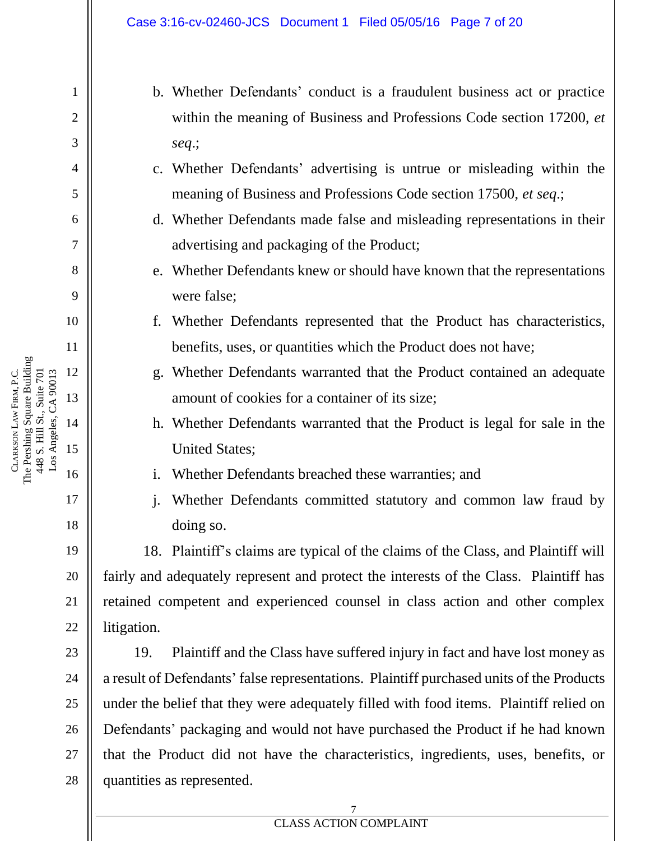b. Whether Defendants' conduct is a fraudulent business act or practice within the meaning of Business and Professions Code section 17200, *et seq*.;

- c. Whether Defendants' advertising is untrue or misleading within the meaning of Business and Professions Code section 17500, *et seq*.;
- d. Whether Defendants made false and misleading representations in their advertising and packaging of the Product;
- e. Whether Defendants knew or should have known that the representations were false;
- f. Whether Defendants represented that the Product has characteristics, benefits, uses, or quantities which the Product does not have;
- g. Whether Defendants warranted that the Product contained an adequate amount of cookies for a container of its size;
- h. Whether Defendants warranted that the Product is legal for sale in the United States;
- i. Whether Defendants breached these warranties; and
- j. Whether Defendants committed statutory and common law fraud by doing so.

18. Plaintiff's claims are typical of the claims of the Class, and Plaintiff will fairly and adequately represent and protect the interests of the Class. Plaintiff has retained competent and experienced counsel in class action and other complex litigation.

19. Plaintiff and the Class have suffered injury in fact and have lost money as a result of Defendants' false representations. Plaintiff purchased units of the Products under the belief that they were adequately filled with food items. Plaintiff relied on Defendants' packaging and would not have purchased the Product if he had known that the Product did not have the characteristics, ingredients, uses, benefits, or quantities as represented.

The Pershing Square Building 12 Los Angeles, CA 90013 FIRM, P.C. 448 S. Hill St., Suite 701 448 S. Hill St., Suite 701 Los Angeles, CA 90013 13 LAW CLARKSON

1

2

3

4

5

6

7

8

9

10

11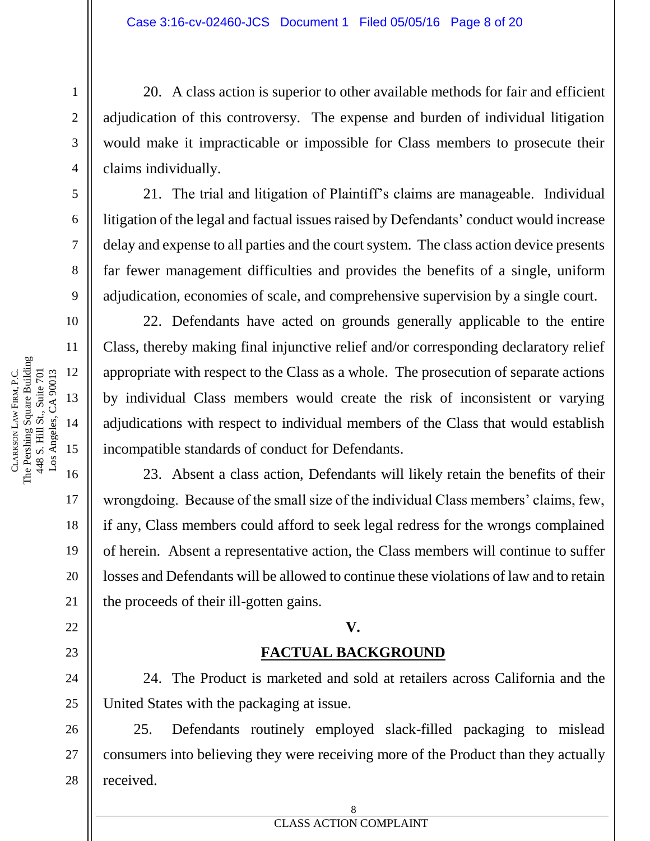20. A class action is superior to other available methods for fair and efficient adjudication of this controversy. The expense and burden of individual litigation would make it impracticable or impossible for Class members to prosecute their claims individually.

21. The trial and litigation of Plaintiff's claims are manageable. Individual litigation of the legal and factual issues raised by Defendants' conduct would increase delay and expense to all parties and the court system. The class action device presents far fewer management difficulties and provides the benefits of a single, uniform adjudication, economies of scale, and comprehensive supervision by a single court.

22. Defendants have acted on grounds generally applicable to the entire Class, thereby making final injunctive relief and/or corresponding declaratory relief appropriate with respect to the Class as a whole. The prosecution of separate actions by individual Class members would create the risk of inconsistent or varying adjudications with respect to individual members of the Class that would establish incompatible standards of conduct for Defendants.

23. Absent a class action, Defendants will likely retain the benefits of their wrongdoing. Because of the small size of the individual Class members' claims, few, if any, Class members could afford to seek legal redress for the wrongs complained of herein. Absent a representative action, the Class members will continue to suffer losses and Defendants will be allowed to continue these violations of law and to retain the proceeds of their ill-gotten gains.

#### **V.**

### **FACTUAL BACKGROUND**

24. The Product is marketed and sold at retailers across California and the United States with the packaging at issue.

25. Defendants routinely employed slack-filled packaging to mislead consumers into believing they were receiving more of the Product than they actually received.

1

2

3

4

5

6

7

8

9

10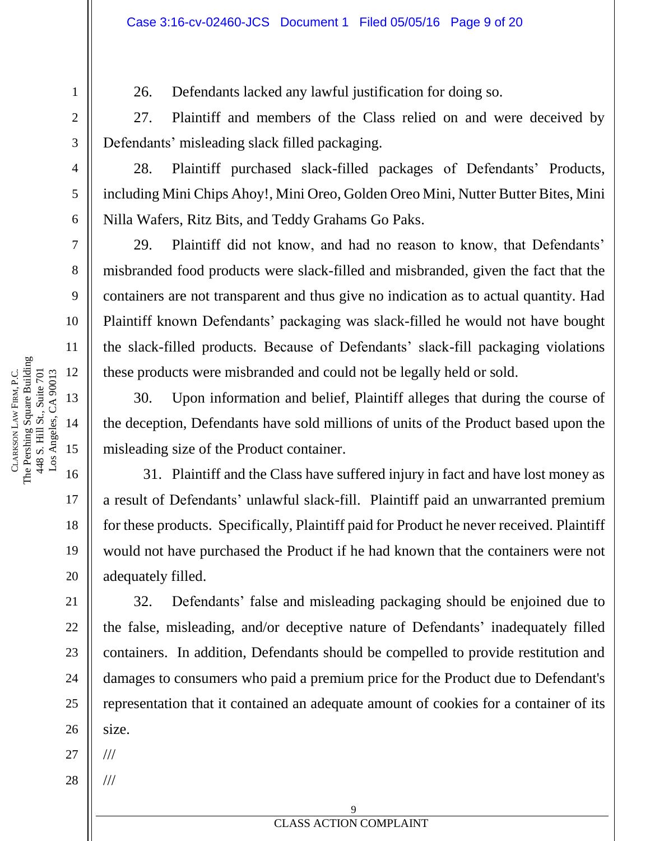26. Defendants lacked any lawful justification for doing so.

27. Plaintiff and members of the Class relied on and were deceived by Defendants' misleading slack filled packaging.

28. Plaintiff purchased slack-filled packages of Defendants' Products, including Mini Chips Ahoy!, Mini Oreo, Golden Oreo Mini, Nutter Butter Bites, Mini Nilla Wafers, Ritz Bits, and Teddy Grahams Go Paks.

29. Plaintiff did not know, and had no reason to know, that Defendants' misbranded food products were slack-filled and misbranded, given the fact that the containers are not transparent and thus give no indication as to actual quantity. Had Plaintiff known Defendants' packaging was slack-filled he would not have bought the slack-filled products. Because of Defendants' slack-fill packaging violations these products were misbranded and could not be legally held or sold.

30. Upon information and belief, Plaintiff alleges that during the course of the deception, Defendants have sold millions of units of the Product based upon the misleading size of the Product container.

31. Plaintiff and the Class have suffered injury in fact and have lost money as a result of Defendants' unlawful slack-fill. Plaintiff paid an unwarranted premium for these products. Specifically, Plaintiff paid for Product he never received. Plaintiff would not have purchased the Product if he had known that the containers were not adequately filled.

32. Defendants' false and misleading packaging should be enjoined due to the false, misleading, and/or deceptive nature of Defendants' inadequately filled containers. In addition, Defendants should be compelled to provide restitution and damages to consumers who paid a premium price for the Product due to Defendant's representation that it contained an adequate amount of cookies for a container of its size.

27 ///

///

28

1

2

3

4

5

6

7

8

9

10

11

17

18

19

20

21

22

23

24

25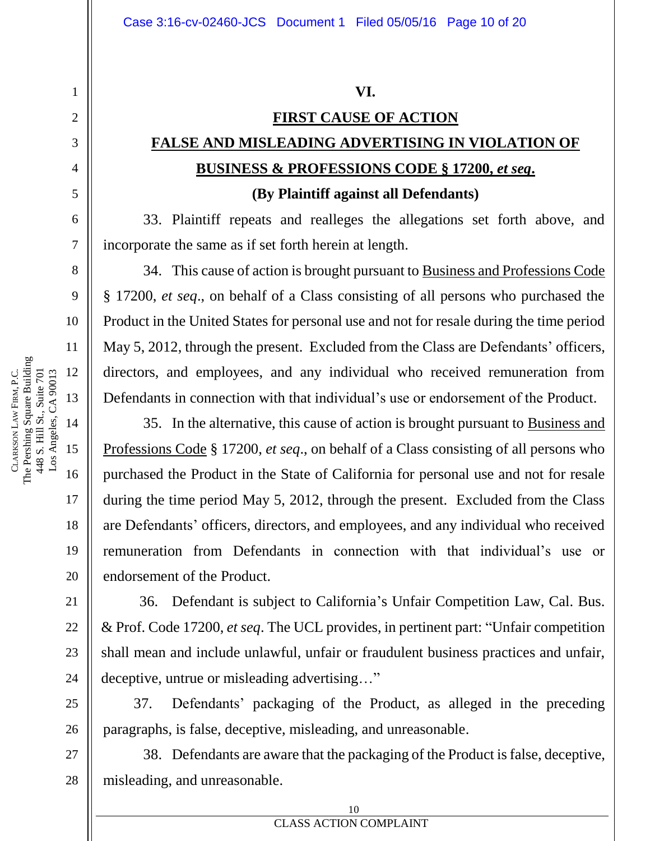#### **VI.**

## **FIRST CAUSE OF ACTION FALSE AND MISLEADING ADVERTISING IN VIOLATION OF BUSINESS & PROFESSIONS CODE § 17200,** *et seq***.**

#### **(By Plaintiff against all Defendants)**

33. Plaintiff repeats and realleges the allegations set forth above, and incorporate the same as if set forth herein at length.

34. This cause of action is brought pursuant to Business and Professions Code § 17200, *et seq*., on behalf of a Class consisting of all persons who purchased the Product in the United States for personal use and not for resale during the time period May 5, 2012, through the present. Excluded from the Class are Defendants' officers, directors, and employees, and any individual who received remuneration from Defendants in connection with that individual's use or endorsement of the Product.

35. In the alternative, this cause of action is brought pursuant to Business and Professions Code § 17200, *et seq*., on behalf of a Class consisting of all persons who purchased the Product in the State of California for personal use and not for resale during the time period May 5, 2012, through the present. Excluded from the Class are Defendants' officers, directors, and employees, and any individual who received remuneration from Defendants in connection with that individual's use or endorsement of the Product.

36. Defendant is subject to California's Unfair Competition Law, Cal. Bus. & Prof. Code 17200, *et seq*. The UCL provides, in pertinent part: "Unfair competition shall mean and include unlawful, unfair or fraudulent business practices and unfair, deceptive, untrue or misleading advertising…"

37. Defendants' packaging of the Product, as alleged in the preceding paragraphs, is false, deceptive, misleading, and unreasonable.

38. Defendants are aware that the packaging of the Product is false, deceptive, misleading, and unreasonable.

The Pershing Square Building 12 Los Angeles, CA 90013 FIRM, P.C. 448 S. Hill St., Suite 701 448 S. Hill St., Suite 701 Los Angeles, CA 90013 13 LAW 14 CLARKSON 15

1

2

3

4

5

6

7

8

9

10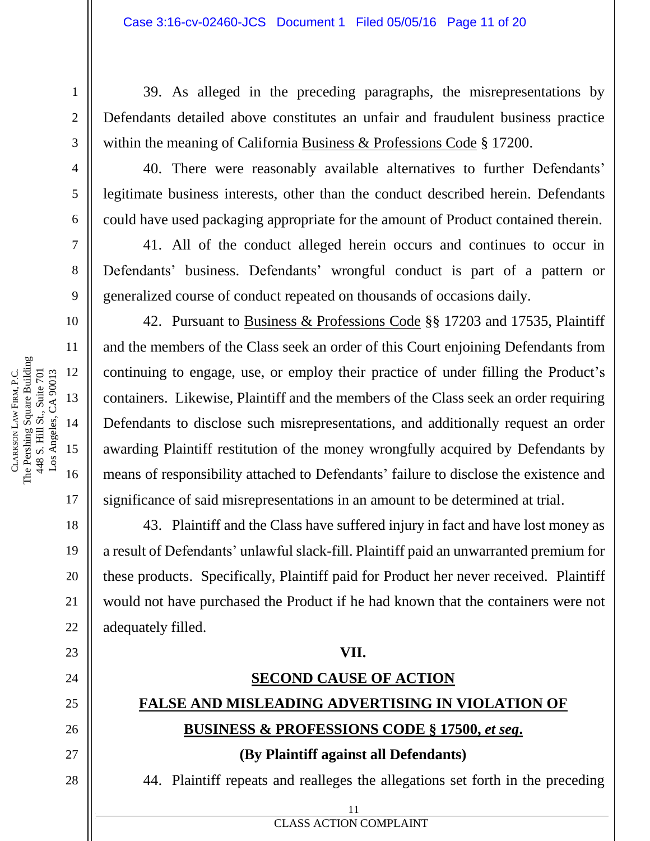39. As alleged in the preceding paragraphs, the misrepresentations by Defendants detailed above constitutes an unfair and fraudulent business practice within the meaning of California Business & Professions Code § 17200.

40. There were reasonably available alternatives to further Defendants' legitimate business interests, other than the conduct described herein. Defendants could have used packaging appropriate for the amount of Product contained therein.

41. All of the conduct alleged herein occurs and continues to occur in Defendants' business. Defendants' wrongful conduct is part of a pattern or generalized course of conduct repeated on thousands of occasions daily.

42. Pursuant to Business & Professions Code §§ 17203 and 17535, Plaintiff and the members of the Class seek an order of this Court enjoining Defendants from continuing to engage, use, or employ their practice of under filling the Product's containers. Likewise, Plaintiff and the members of the Class seek an order requiring Defendants to disclose such misrepresentations, and additionally request an order awarding Plaintiff restitution of the money wrongfully acquired by Defendants by means of responsibility attached to Defendants' failure to disclose the existence and significance of said misrepresentations in an amount to be determined at trial.

43. Plaintiff and the Class have suffered injury in fact and have lost money as a result of Defendants' unlawful slack-fill. Plaintiff paid an unwarranted premium for these products. Specifically, Plaintiff paid for Product her never received. Plaintiff would not have purchased the Product if he had known that the containers were not adequately filled.

#### **VII.**

## **SECOND CAUSE OF ACTION FALSE AND MISLEADING ADVERTISING IN VIOLATION OF BUSINESS & PROFESSIONS CODE § 17500,** *et seq***.**

**(By Plaintiff against all Defendants)**

11

**EXECUTE 2** CLASS ACTION COMPLAINT

44. Plaintiff repeats and realleges the allegations set forth in the preceding

CLARKSON

LAW

The Pershing Square Building

448 S. Hill St., Suite 701

FIRM, P.C.

27

28

1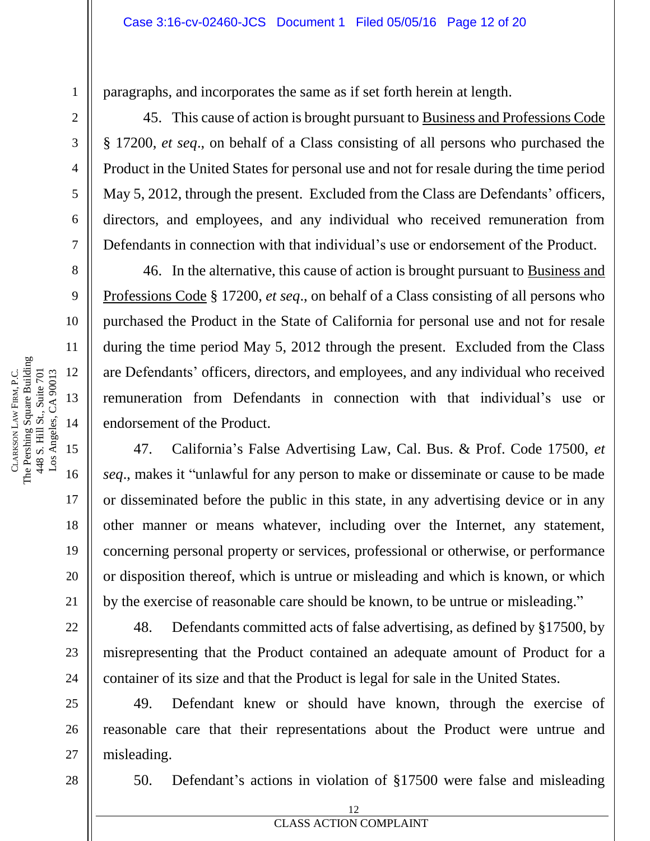paragraphs, and incorporates the same as if set forth herein at length.

45. This cause of action is brought pursuant to Business and Professions Code § 17200, *et seq*., on behalf of a Class consisting of all persons who purchased the Product in the United States for personal use and not for resale during the time period May 5, 2012, through the present. Excluded from the Class are Defendants' officers, directors, and employees, and any individual who received remuneration from Defendants in connection with that individual's use or endorsement of the Product.

46. In the alternative, this cause of action is brought pursuant to Business and Professions Code § 17200, *et seq*., on behalf of a Class consisting of all persons who purchased the Product in the State of California for personal use and not for resale during the time period May 5, 2012 through the present. Excluded from the Class are Defendants' officers, directors, and employees, and any individual who received remuneration from Defendants in connection with that individual's use or endorsement of the Product.

47. California's False Advertising Law, Cal. Bus. & Prof. Code 17500, *et seq*., makes it "unlawful for any person to make or disseminate or cause to be made or disseminated before the public in this state, in any advertising device or in any other manner or means whatever, including over the Internet, any statement, concerning personal property or services, professional or otherwise, or performance or disposition thereof, which is untrue or misleading and which is known, or which by the exercise of reasonable care should be known, to be untrue or misleading."

48. Defendants committed acts of false advertising, as defined by §17500, by misrepresenting that the Product contained an adequate amount of Product for a container of its size and that the Product is legal for sale in the United States.

49. Defendant knew or should have known, through the exercise of reasonable care that their representations about the Product were untrue and misleading.

28

1

2

3

4

5

6

7

8

9

10

11

12

13

14

15

CLARKSON

LAW

The Pershing Square Building 448 S. Hill St., Suite 701 Los Angeles, CA 90013

448 S. Hill St., Suite 701 Los Angeles, CA 90013

FIRM, P.C.

16

17

18

19

20

21

22

23

24

25

26

27

50. Defendant's actions in violation of §17500 were false and misleading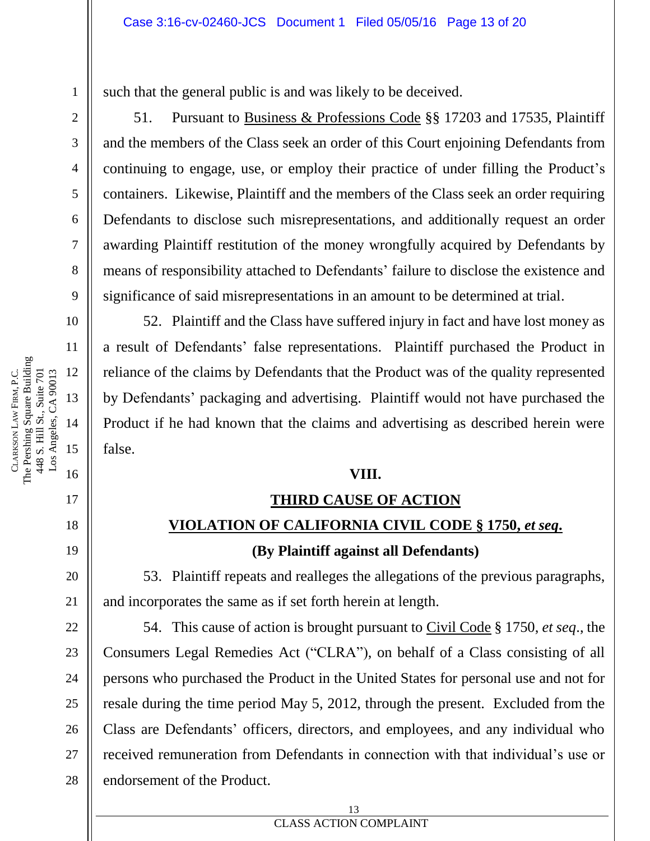such that the general public is and was likely to be deceived.

51. Pursuant to Business & Professions Code §§ 17203 and 17535, Plaintiff and the members of the Class seek an order of this Court enjoining Defendants from continuing to engage, use, or employ their practice of under filling the Product's containers. Likewise, Plaintiff and the members of the Class seek an order requiring Defendants to disclose such misrepresentations, and additionally request an order awarding Plaintiff restitution of the money wrongfully acquired by Defendants by means of responsibility attached to Defendants' failure to disclose the existence and significance of said misrepresentations in an amount to be determined at trial.

52. Plaintiff and the Class have suffered injury in fact and have lost money as a result of Defendants' false representations. Plaintiff purchased the Product in reliance of the claims by Defendants that the Product was of the quality represented by Defendants' packaging and advertising. Plaintiff would not have purchased the Product if he had known that the claims and advertising as described herein were false.

### **VIII.**

#### **THIRD CAUSE OF ACTION**

### **VIOLATION OF CALIFORNIA CIVIL CODE § 1750,** *et seq***.**

### **(By Plaintiff against all Defendants)**

53. Plaintiff repeats and realleges the allegations of the previous paragraphs, and incorporates the same as if set forth herein at length.

54. This cause of action is brought pursuant to Civil Code § 1750, *et seq*., the Consumers Legal Remedies Act ("CLRA"), on behalf of a Class consisting of all persons who purchased the Product in the United States for personal use and not for resale during the time period May 5, 2012, through the present. Excluded from the Class are Defendants' officers, directors, and employees, and any individual who received remuneration from Defendants in connection with that individual's use or endorsement of the Product.

1

2

3

4

5

6

7

8

9

10

11

17

18

19

20

21

22

23

24

25

26

27

28

#### **EXECUTES ACTION COMPLAINT** 13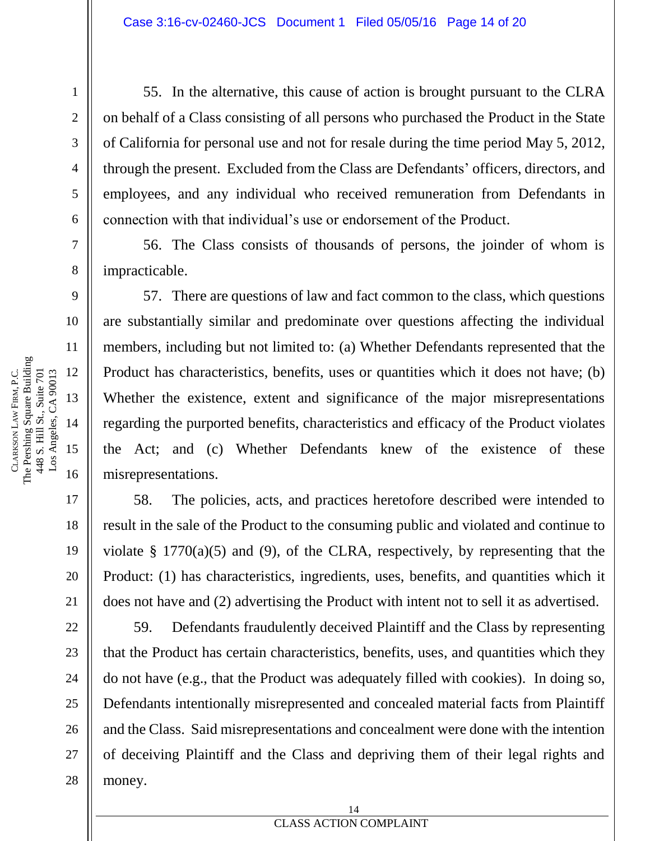55. In the alternative, this cause of action is brought pursuant to the CLRA on behalf of a Class consisting of all persons who purchased the Product in the State of California for personal use and not for resale during the time period May 5, 2012, through the present. Excluded from the Class are Defendants' officers, directors, and employees, and any individual who received remuneration from Defendants in connection with that individual's use or endorsement of the Product.

56. The Class consists of thousands of persons, the joinder of whom is impracticable.

57. There are questions of law and fact common to the class, which questions are substantially similar and predominate over questions affecting the individual members, including but not limited to: (a) Whether Defendants represented that the Product has characteristics, benefits, uses or quantities which it does not have; (b) Whether the existence, extent and significance of the major misrepresentations regarding the purported benefits, characteristics and efficacy of the Product violates the Act; and (c) Whether Defendants knew of the existence of these misrepresentations.

58. The policies, acts, and practices heretofore described were intended to result in the sale of the Product to the consuming public and violated and continue to violate  $\S$  1770(a)(5) and (9), of the CLRA, respectively, by representing that the Product: (1) has characteristics, ingredients, uses, benefits, and quantities which it does not have and (2) advertising the Product with intent not to sell it as advertised.

59. Defendants fraudulently deceived Plaintiff and the Class by representing that the Product has certain characteristics, benefits, uses, and quantities which they do not have (e.g., that the Product was adequately filled with cookies). In doing so, Defendants intentionally misrepresented and concealed material facts from Plaintiff and the Class. Said misrepresentations and concealment were done with the intention of deceiving Plaintiff and the Class and depriving them of their legal rights and money.

1

2

3

4

5

6

7

8

9

10

11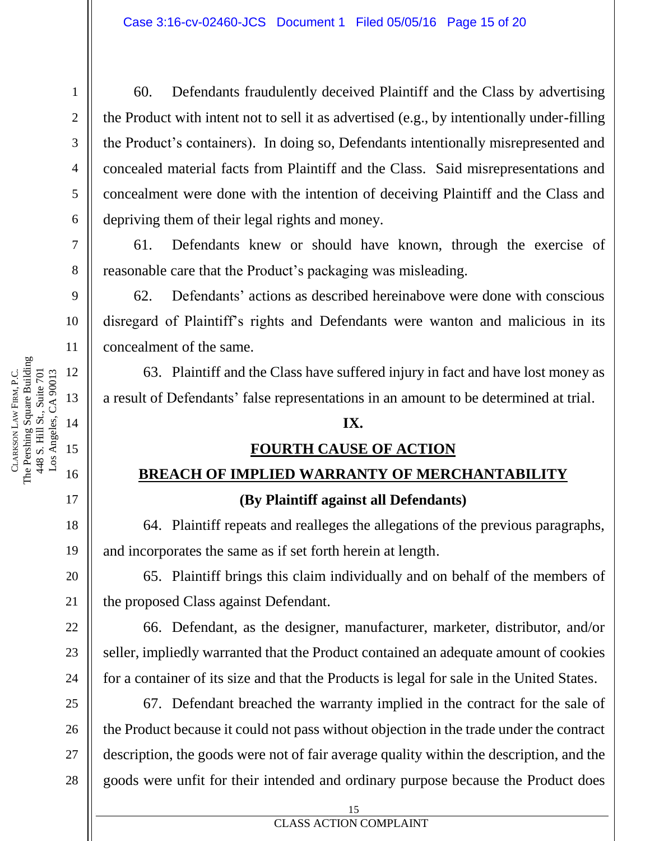60. Defendants fraudulently deceived Plaintiff and the Class by advertising the Product with intent not to sell it as advertised (e.g., by intentionally under-filling the Product's containers). In doing so, Defendants intentionally misrepresented and concealed material facts from Plaintiff and the Class. Said misrepresentations and concealment were done with the intention of deceiving Plaintiff and the Class and depriving them of their legal rights and money.

61. Defendants knew or should have known, through the exercise of reasonable care that the Product's packaging was misleading.

62. Defendants' actions as described hereinabove were done with conscious disregard of Plaintiff's rights and Defendants were wanton and malicious in its concealment of the same.

63. Plaintiff and the Class have suffered injury in fact and have lost money as a result of Defendants' false representations in an amount to be determined at trial.

### **IX.**

### **FOURTH CAUSE OF ACTION**

## **BREACH OF IMPLIED WARRANTY OF MERCHANTABILITY (By Plaintiff against all Defendants)**

64. Plaintiff repeats and realleges the allegations of the previous paragraphs, and incorporates the same as if set forth herein at length.

65. Plaintiff brings this claim individually and on behalf of the members of the proposed Class against Defendant.

66. Defendant, as the designer, manufacturer, marketer, distributor, and/or seller, impliedly warranted that the Product contained an adequate amount of cookies for a container of its size and that the Products is legal for sale in the United States.

67. Defendant breached the warranty implied in the contract for the sale of the Product because it could not pass without objection in the trade under the contract description, the goods were not of fair average quality within the description, and the goods were unfit for their intended and ordinary purpose because the Product does

CLARKSON

LAW

The Pershing Square Building

FIRM, P.C.

1

2

3

28

25

26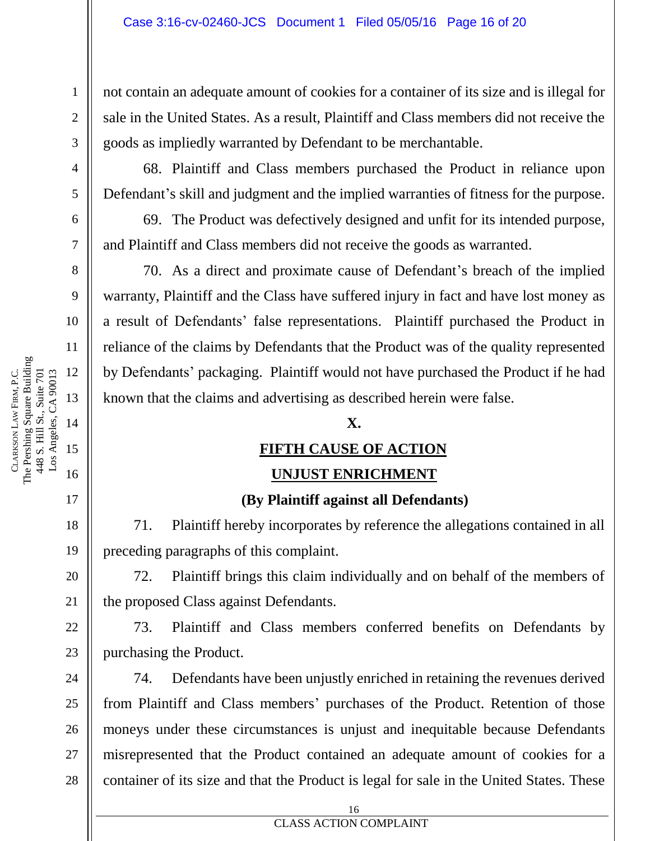not contain an adequate amount of cookies for a container of its size and is illegal for sale in the United States. As a result, Plaintiff and Class members did not receive the goods as impliedly warranted by Defendant to be merchantable.

68. Plaintiff and Class members purchased the Product in reliance upon Defendant's skill and judgment and the implied warranties of fitness for the purpose.

69. The Product was defectively designed and unfit for its intended purpose, and Plaintiff and Class members did not receive the goods as warranted.

70. As a direct and proximate cause of Defendant's breach of the implied warranty, Plaintiff and the Class have suffered injury in fact and have lost money as a result of Defendants' false representations. Plaintiff purchased the Product in reliance of the claims by Defendants that the Product was of the quality represented by Defendants' packaging. Plaintiff would not have purchased the Product if he had known that the claims and advertising as described herein were false.

#### **X.**

### **FIFTH CAUSE OF ACTION**

#### **UNJUST ENRICHMENT**

#### **(By Plaintiff against all Defendants)**

71. Plaintiff hereby incorporates by reference the allegations contained in all preceding paragraphs of this complaint.

72. Plaintiff brings this claim individually and on behalf of the members of the proposed Class against Defendants.

73. Plaintiff and Class members conferred benefits on Defendants by purchasing the Product.

74. Defendants have been unjustly enriched in retaining the revenues derived from Plaintiff and Class members' purchases of the Product. Retention of those moneys under these circumstances is unjust and inequitable because Defendants misrepresented that the Product contained an adequate amount of cookies for a container of its size and that the Product is legal for sale in the United States. These

1

2

3

4

5

6

7

8

9

10

11

## **ERROR DOCUMENT PROPERTY NAMES ACTION COMPLAINT**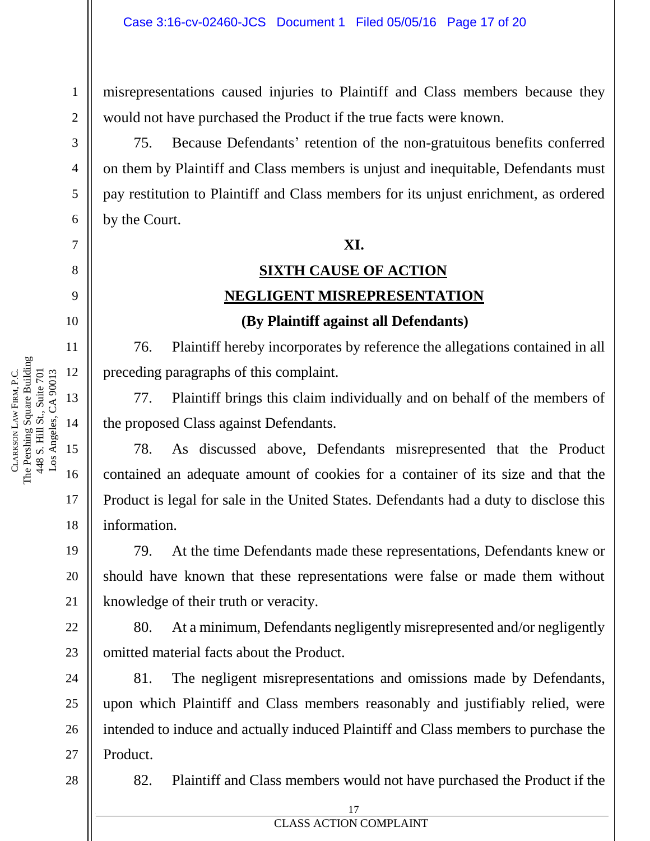misrepresentations caused injuries to Plaintiff and Class members because they would not have purchased the Product if the true facts were known.

75. Because Defendants' retention of the non-gratuitous benefits conferred on them by Plaintiff and Class members is unjust and inequitable, Defendants must pay restitution to Plaintiff and Class members for its unjust enrichment, as ordered by the Court.

#### **XI.**

## **SIXTH CAUSE OF ACTION NEGLIGENT MISREPRESENTATION (By Plaintiff against all Defendants)**

76. Plaintiff hereby incorporates by reference the allegations contained in all

preceding paragraphs of this complaint.

77. Plaintiff brings this claim individually and on behalf of the members of the proposed Class against Defendants.

78. As discussed above, Defendants misrepresented that the Product contained an adequate amount of cookies for a container of its size and that the Product is legal for sale in the United States. Defendants had a duty to disclose this information.

79. At the time Defendants made these representations, Defendants knew or should have known that these representations were false or made them without knowledge of their truth or veracity.

80. At a minimum, Defendants negligently misrepresented and/or negligently omitted material facts about the Product.

81. The negligent misrepresentations and omissions made by Defendants, upon which Plaintiff and Class members reasonably and justifiably relied, were intended to induce and actually induced Plaintiff and Class members to purchase the Product.

28

27

82. Plaintiff and Class members would not have purchased the Product if the

1

2

3

4

5

6

7

8

9

10

11

17

18

19

20

21

22

23

24

25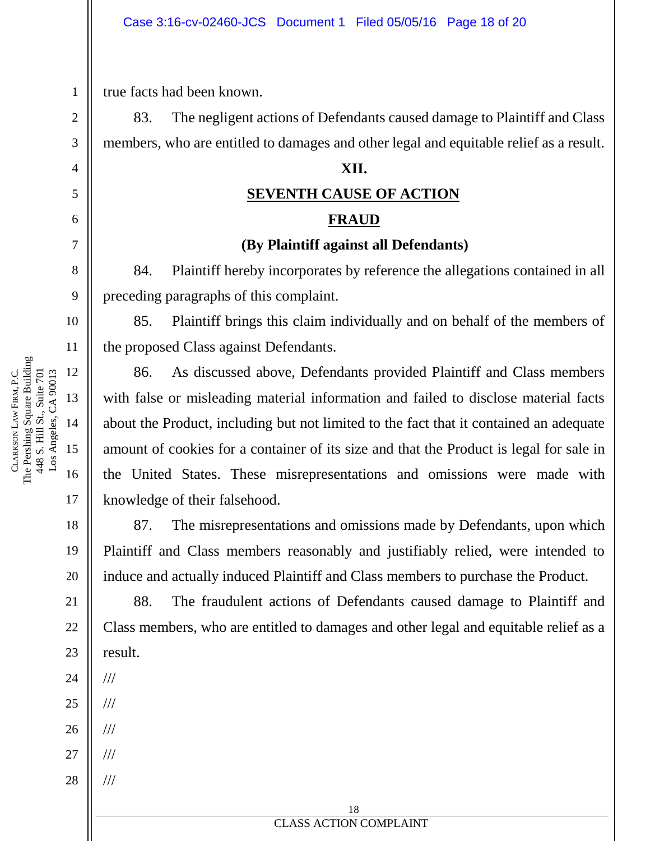true facts had been known.

83. The negligent actions of Defendants caused damage to Plaintiff and Class members, who are entitled to damages and other legal and equitable relief as a result.

#### **XII.**

## **SEVENTH CAUSE OF ACTION FRAUD**

# **(By Plaintiff against all Defendants)**

84. Plaintiff hereby incorporates by reference the allegations contained in all preceding paragraphs of this complaint.

85. Plaintiff brings this claim individually and on behalf of the members of the proposed Class against Defendants.

86. As discussed above, Defendants provided Plaintiff and Class members with false or misleading material information and failed to disclose material facts about the Product, including but not limited to the fact that it contained an adequate amount of cookies for a container of its size and that the Product is legal for sale in the United States. These misrepresentations and omissions were made with knowledge of their falsehood.

87. The misrepresentations and omissions made by Defendants, upon which Plaintiff and Class members reasonably and justifiably relied, were intended to induce and actually induced Plaintiff and Class members to purchase the Product.

88. The fraudulent actions of Defendants caused damage to Plaintiff and Class members, who are entitled to damages and other legal and equitable relief as a result.

- 24 ///
- 25 ///
- 26 ///
- 27 ///

///

28

1

2

3

4

5

6

7

8

9

10

11

17

18

19

20

21

22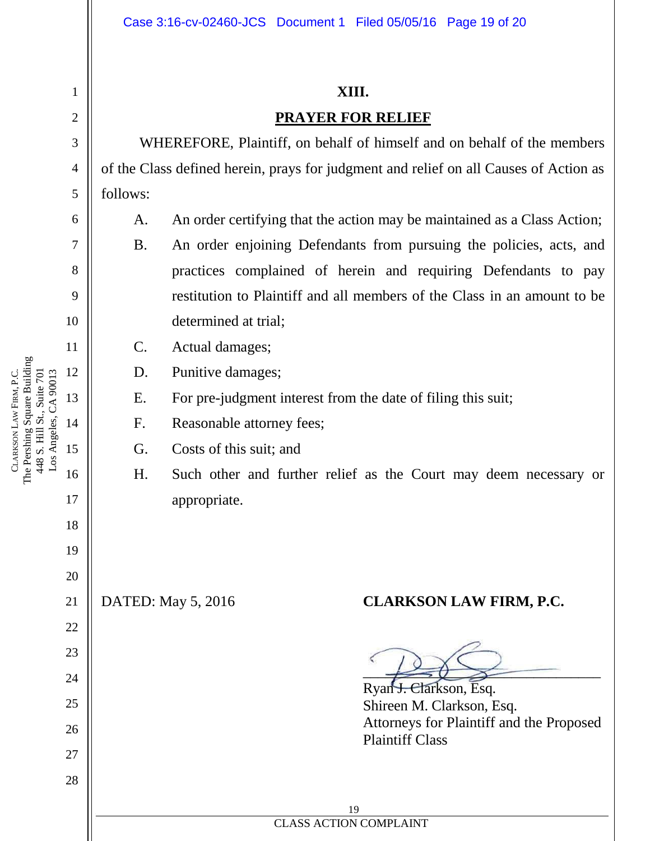#### **XIII.**

### **PRAYER FOR RELIEF**

WHEREFORE, Plaintiff, on behalf of himself and on behalf of the members of the Class defined herein, prays for judgment and relief on all Causes of Action as follows:

- A. An order certifying that the action may be maintained as a Class Action;
	- B. An order enjoining Defendants from pursuing the policies, acts, and practices complained of herein and requiring Defendants to pay restitution to Plaintiff and all members of the Class in an amount to be determined at trial;
- C. Actual damages;
- D. Punitive damages;
- E. For pre-judgment interest from the date of filing this suit;
- F. Reasonable attorney fees;
- G. Costs of this suit; and
- H. Such other and further relief as the Court may deem necessary or appropriate.

## DATED: May 5, 2016 **CLARKSON LAW FIRM, P.C.**

 $\overline{\longrightarrow}$ 

Ryan J. Clarkson, Esq. Shireen M. Clarkson, Esq. Attorneys for Plaintiff and the Proposed Plaintiff Class

The Pershing Square Building 12 Los Angeles, CA 90013 FIRM, P.C. 448 S. Hill St., Suite 701 448 S. Hill St., Suite 701 Los Angeles, CA 90013 13 LAW 14 CLARKSON 15 16

1

2

3

4

5

6

7

8

9

10

11

17

18

19

20

21

22

23

24

25

26

27